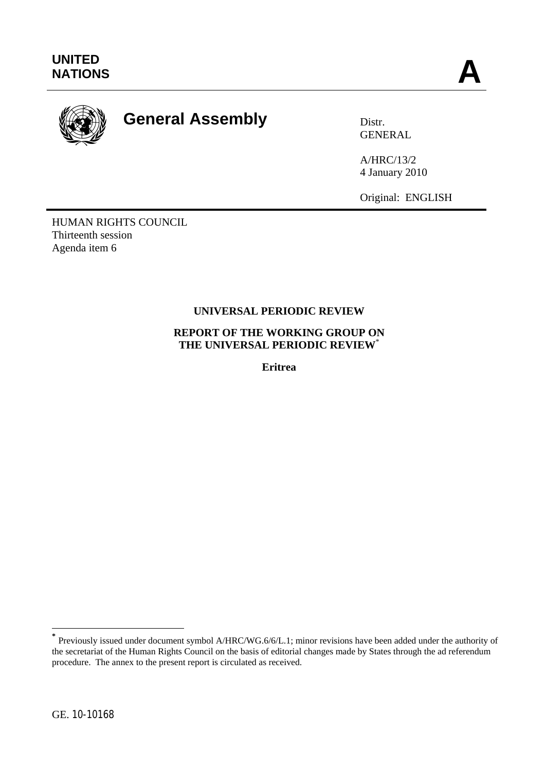

# **General Assembly Distr.**

GENERAL

A/HRC/13/2 4 January 2010

Original: ENGLISH

HUMAN RIGHTS COUNCIL Thirteenth session Agenda item 6

# **UNIVERSAL PERIODIC REVIEW**

**REPORT OF THE WORKING GROUP ON THE UNIVERSAL PERIODIC REVIEW**\*

**Eritrea** 

 $\overline{a}$ 

**<sup>\*</sup>** Previously issued under document symbol A/HRC/WG.6/6/L.1; minor revisions have been added under the authority of the secretariat of the Human Rights Council on the basis of editorial changes made by States through the ad referendum procedure. The annex to the present report is circulated as received.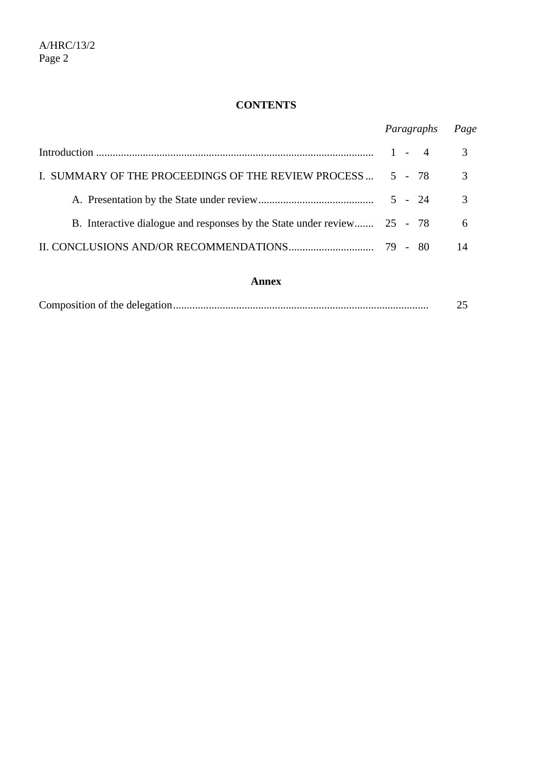# **CONTENTS**

|                                                                         | Paragraphs | Page          |
|-------------------------------------------------------------------------|------------|---------------|
|                                                                         | $1 - 4$    | 3             |
| I. SUMMARY OF THE PROCEEDINGS OF THE REVIEW PROCESS  5 - 78             |            | 3             |
|                                                                         |            | $\mathcal{R}$ |
| B. Interactive dialogue and responses by the State under review 25 - 78 |            | 6             |
|                                                                         |            | 14            |
|                                                                         |            |               |

## **Annex**

|--|--|--|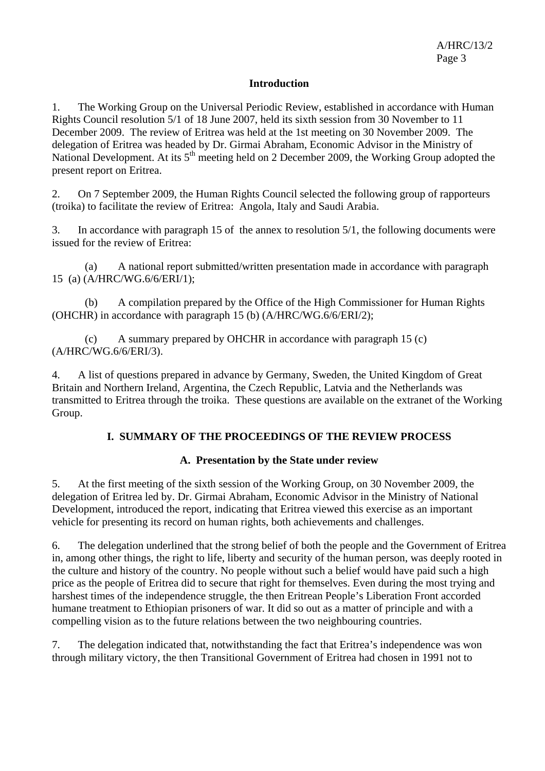## **Introduction**

1. The Working Group on the Universal Periodic Review, established in accordance with Human Rights Council resolution 5/1 of 18 June 2007, held its sixth session from 30 November to 11 December 2009. The review of Eritrea was held at the 1st meeting on 30 November 2009. The delegation of Eritrea was headed by Dr. Girmai Abraham, Economic Advisor in the Ministry of National Development. At its 5<sup>th</sup> meeting held on 2 December 2009, the Working Group adopted the present report on Eritrea.

2. On 7 September 2009, the Human Rights Council selected the following group of rapporteurs (troika) to facilitate the review of Eritrea: Angola, Italy and Saudi Arabia.

3. In accordance with paragraph 15 of the annex to resolution 5/1, the following documents were issued for the review of Eritrea:

 (a) A national report submitted/written presentation made in accordance with paragraph 15 (a) (A/HRC/WG.6/6/ERI/1);

 (b) A compilation prepared by the Office of the High Commissioner for Human Rights (OHCHR) in accordance with paragraph 15 (b) (A/HRC/WG.6/6/ERI/2);

 (c) A summary prepared by OHCHR in accordance with paragraph 15 (c) (A/HRC/WG.6/6/ERI/3).

4. A list of questions prepared in advance by Germany, Sweden, the United Kingdom of Great Britain and Northern Ireland, Argentina, the Czech Republic, Latvia and the Netherlands was transmitted to Eritrea through the troika. These questions are available on the extranet of the Working Group.

## **I. SUMMARY OF THE PROCEEDINGS OF THE REVIEW PROCESS**

#### **A. Presentation by the State under review**

5. At the first meeting of the sixth session of the Working Group, on 30 November 2009, the delegation of Eritrea led by. Dr. Girmai Abraham, Economic Advisor in the Ministry of National Development, introduced the report, indicating that Eritrea viewed this exercise as an important vehicle for presenting its record on human rights, both achievements and challenges.

6. The delegation underlined that the strong belief of both the people and the Government of Eritrea in, among other things, the right to life, liberty and security of the human person, was deeply rooted in the culture and history of the country. No people without such a belief would have paid such a high price as the people of Eritrea did to secure that right for themselves. Even during the most trying and harshest times of the independence struggle, the then Eritrean People's Liberation Front accorded humane treatment to Ethiopian prisoners of war. It did so out as a matter of principle and with a compelling vision as to the future relations between the two neighbouring countries.

7. The delegation indicated that, notwithstanding the fact that Eritrea's independence was won through military victory, the then Transitional Government of Eritrea had chosen in 1991 not to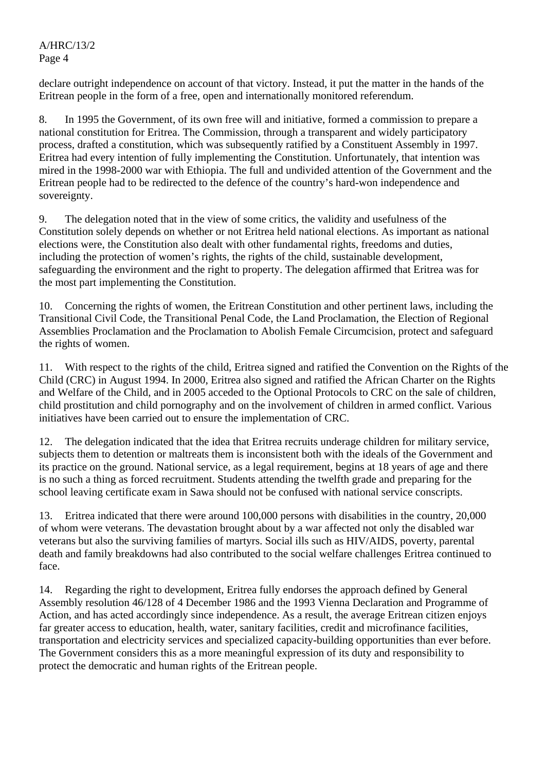A/HRC/13/2 Page 4

declare outright independence on account of that victory. Instead, it put the matter in the hands of the Eritrean people in the form of a free, open and internationally monitored referendum.

8. In 1995 the Government, of its own free will and initiative, formed a commission to prepare a national constitution for Eritrea. The Commission, through a transparent and widely participatory process, drafted a constitution, which was subsequently ratified by a Constituent Assembly in 1997. Eritrea had every intention of fully implementing the Constitution. Unfortunately, that intention was mired in the 1998-2000 war with Ethiopia. The full and undivided attention of the Government and the Eritrean people had to be redirected to the defence of the country's hard-won independence and sovereignty.

9. The delegation noted that in the view of some critics, the validity and usefulness of the Constitution solely depends on whether or not Eritrea held national elections. As important as national elections were, the Constitution also dealt with other fundamental rights, freedoms and duties, including the protection of women's rights, the rights of the child, sustainable development, safeguarding the environment and the right to property. The delegation affirmed that Eritrea was for the most part implementing the Constitution.

10. Concerning the rights of women, the Eritrean Constitution and other pertinent laws, including the Transitional Civil Code, the Transitional Penal Code, the Land Proclamation, the Election of Regional Assemblies Proclamation and the Proclamation to Abolish Female Circumcision, protect and safeguard the rights of women.

11. With respect to the rights of the child, Eritrea signed and ratified the Convention on the Rights of the Child (CRC) in August 1994. In 2000, Eritrea also signed and ratified the African Charter on the Rights and Welfare of the Child, and in 2005 acceded to the Optional Protocols to CRC on the sale of children, child prostitution and child pornography and on the involvement of children in armed conflict. Various initiatives have been carried out to ensure the implementation of CRC.

12. The delegation indicated that the idea that Eritrea recruits underage children for military service, subjects them to detention or maltreats them is inconsistent both with the ideals of the Government and its practice on the ground. National service, as a legal requirement, begins at 18 years of age and there is no such a thing as forced recruitment. Students attending the twelfth grade and preparing for the school leaving certificate exam in Sawa should not be confused with national service conscripts.

13. Eritrea indicated that there were around 100,000 persons with disabilities in the country, 20,000 of whom were veterans. The devastation brought about by a war affected not only the disabled war veterans but also the surviving families of martyrs. Social ills such as HIV/AIDS, poverty, parental death and family breakdowns had also contributed to the social welfare challenges Eritrea continued to face.

14. Regarding the right to development, Eritrea fully endorses the approach defined by General Assembly resolution 46/128 of 4 December 1986 and the 1993 Vienna Declaration and Programme of Action, and has acted accordingly since independence. As a result, the average Eritrean citizen enjoys far greater access to education, health, water, sanitary facilities, credit and microfinance facilities, transportation and electricity services and specialized capacity-building opportunities than ever before. The Government considers this as a more meaningful expression of its duty and responsibility to protect the democratic and human rights of the Eritrean people.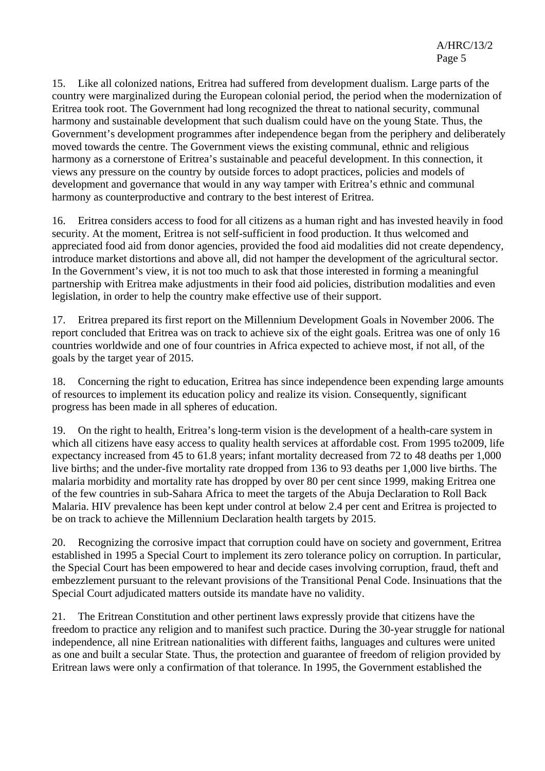15. Like all colonized nations, Eritrea had suffered from development dualism. Large parts of the country were marginalized during the European colonial period, the period when the modernization of Eritrea took root. The Government had long recognized the threat to national security, communal harmony and sustainable development that such dualism could have on the young State. Thus, the Government's development programmes after independence began from the periphery and deliberately moved towards the centre. The Government views the existing communal, ethnic and religious harmony as a cornerstone of Eritrea's sustainable and peaceful development. In this connection, it views any pressure on the country by outside forces to adopt practices, policies and models of development and governance that would in any way tamper with Eritrea's ethnic and communal harmony as counterproductive and contrary to the best interest of Eritrea.

16. Eritrea considers access to food for all citizens as a human right and has invested heavily in food security. At the moment, Eritrea is not self-sufficient in food production. It thus welcomed and appreciated food aid from donor agencies, provided the food aid modalities did not create dependency, introduce market distortions and above all, did not hamper the development of the agricultural sector. In the Government's view, it is not too much to ask that those interested in forming a meaningful partnership with Eritrea make adjustments in their food aid policies, distribution modalities and even legislation, in order to help the country make effective use of their support.

17. Eritrea prepared its first report on the Millennium Development Goals in November 2006. The report concluded that Eritrea was on track to achieve six of the eight goals. Eritrea was one of only 16 countries worldwide and one of four countries in Africa expected to achieve most, if not all, of the goals by the target year of 2015.

18. Concerning the right to education, Eritrea has since independence been expending large amounts of resources to implement its education policy and realize its vision. Consequently, significant progress has been made in all spheres of education.

19. On the right to health, Eritrea's long-term vision is the development of a health-care system in which all citizens have easy access to quality health services at affordable cost. From 1995 to2009, life expectancy increased from 45 to 61.8 years; infant mortality decreased from 72 to 48 deaths per 1,000 live births; and the under-five mortality rate dropped from 136 to 93 deaths per 1,000 live births. The malaria morbidity and mortality rate has dropped by over 80 per cent since 1999, making Eritrea one of the few countries in sub-Sahara Africa to meet the targets of the Abuja Declaration to Roll Back Malaria. HIV prevalence has been kept under control at below 2.4 per cent and Eritrea is projected to be on track to achieve the Millennium Declaration health targets by 2015.

20. Recognizing the corrosive impact that corruption could have on society and government, Eritrea established in 1995 a Special Court to implement its zero tolerance policy on corruption. In particular, the Special Court has been empowered to hear and decide cases involving corruption, fraud, theft and embezzlement pursuant to the relevant provisions of the Transitional Penal Code. Insinuations that the Special Court adjudicated matters outside its mandate have no validity.

21. The Eritrean Constitution and other pertinent laws expressly provide that citizens have the freedom to practice any religion and to manifest such practice. During the 30-year struggle for national independence, all nine Eritrean nationalities with different faiths, languages and cultures were united as one and built a secular State. Thus, the protection and guarantee of freedom of religion provided by Eritrean laws were only a confirmation of that tolerance. In 1995, the Government established the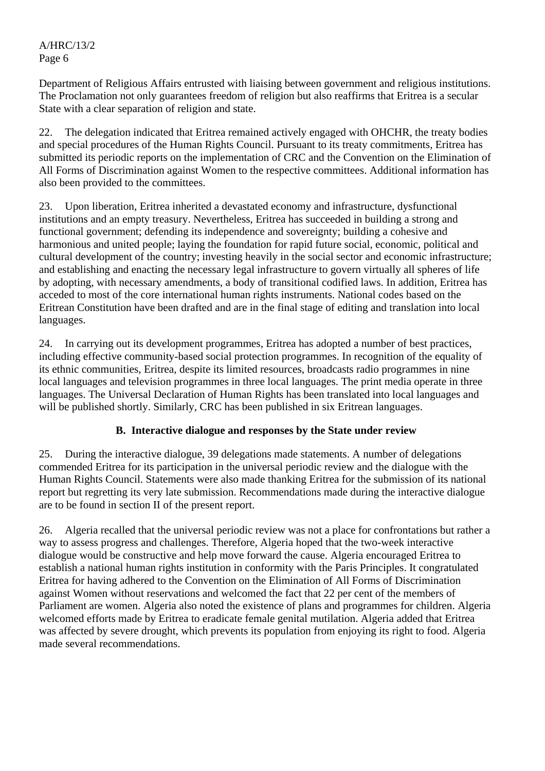A/HRC/13/2 Page 6

Department of Religious Affairs entrusted with liaising between government and religious institutions. The Proclamation not only guarantees freedom of religion but also reaffirms that Eritrea is a secular State with a clear separation of religion and state.

22. The delegation indicated that Eritrea remained actively engaged with OHCHR, the treaty bodies and special procedures of the Human Rights Council. Pursuant to its treaty commitments, Eritrea has submitted its periodic reports on the implementation of CRC and the Convention on the Elimination of All Forms of Discrimination against Women to the respective committees. Additional information has also been provided to the committees.

23. Upon liberation, Eritrea inherited a devastated economy and infrastructure, dysfunctional institutions and an empty treasury. Nevertheless, Eritrea has succeeded in building a strong and functional government; defending its independence and sovereignty; building a cohesive and harmonious and united people; laying the foundation for rapid future social, economic, political and cultural development of the country; investing heavily in the social sector and economic infrastructure; and establishing and enacting the necessary legal infrastructure to govern virtually all spheres of life by adopting, with necessary amendments, a body of transitional codified laws. In addition, Eritrea has acceded to most of the core international human rights instruments. National codes based on the Eritrean Constitution have been drafted and are in the final stage of editing and translation into local languages.

24. In carrying out its development programmes, Eritrea has adopted a number of best practices, including effective community-based social protection programmes. In recognition of the equality of its ethnic communities, Eritrea, despite its limited resources, broadcasts radio programmes in nine local languages and television programmes in three local languages. The print media operate in three languages. The Universal Declaration of Human Rights has been translated into local languages and will be published shortly. Similarly, CRC has been published in six Eritrean languages.

#### **B. Interactive dialogue and responses by the State under review**

25. During the interactive dialogue, 39 delegations made statements. A number of delegations commended Eritrea for its participation in the universal periodic review and the dialogue with the Human Rights Council. Statements were also made thanking Eritrea for the submission of its national report but regretting its very late submission. Recommendations made during the interactive dialogue are to be found in section II of the present report.

26. Algeria recalled that the universal periodic review was not a place for confrontations but rather a way to assess progress and challenges. Therefore, Algeria hoped that the two-week interactive dialogue would be constructive and help move forward the cause. Algeria encouraged Eritrea to establish a national human rights institution in conformity with the Paris Principles. It congratulated Eritrea for having adhered to the Convention on the Elimination of All Forms of Discrimination against Women without reservations and welcomed the fact that 22 per cent of the members of Parliament are women. Algeria also noted the existence of plans and programmes for children. Algeria welcomed efforts made by Eritrea to eradicate female genital mutilation. Algeria added that Eritrea was affected by severe drought, which prevents its population from enjoying its right to food. Algeria made several recommendations.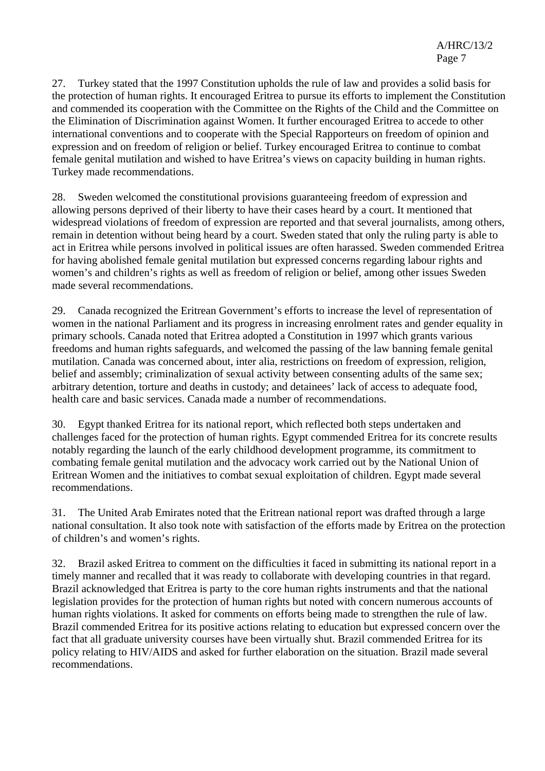27. Turkey stated that the 1997 Constitution upholds the rule of law and provides a solid basis for the protection of human rights. It encouraged Eritrea to pursue its efforts to implement the Constitution and commended its cooperation with the Committee on the Rights of the Child and the Committee on the Elimination of Discrimination against Women. It further encouraged Eritrea to accede to other international conventions and to cooperate with the Special Rapporteurs on freedom of opinion and expression and on freedom of religion or belief. Turkey encouraged Eritrea to continue to combat female genital mutilation and wished to have Eritrea's views on capacity building in human rights. Turkey made recommendations.

28. Sweden welcomed the constitutional provisions guaranteeing freedom of expression and allowing persons deprived of their liberty to have their cases heard by a court. It mentioned that widespread violations of freedom of expression are reported and that several journalists, among others, remain in detention without being heard by a court. Sweden stated that only the ruling party is able to act in Eritrea while persons involved in political issues are often harassed. Sweden commended Eritrea for having abolished female genital mutilation but expressed concerns regarding labour rights and women's and children's rights as well as freedom of religion or belief, among other issues Sweden made several recommendations.

29. Canada recognized the Eritrean Government's efforts to increase the level of representation of women in the national Parliament and its progress in increasing enrolment rates and gender equality in primary schools. Canada noted that Eritrea adopted a Constitution in 1997 which grants various freedoms and human rights safeguards, and welcomed the passing of the law banning female genital mutilation. Canada was concerned about, inter alia, restrictions on freedom of expression, religion, belief and assembly; criminalization of sexual activity between consenting adults of the same sex; arbitrary detention, torture and deaths in custody; and detainees' lack of access to adequate food, health care and basic services. Canada made a number of recommendations.

30. Egypt thanked Eritrea for its national report, which reflected both steps undertaken and challenges faced for the protection of human rights. Egypt commended Eritrea for its concrete results notably regarding the launch of the early childhood development programme, its commitment to combating female genital mutilation and the advocacy work carried out by the National Union of Eritrean Women and the initiatives to combat sexual exploitation of children. Egypt made several recommendations.

31. The United Arab Emirates noted that the Eritrean national report was drafted through a large national consultation. It also took note with satisfaction of the efforts made by Eritrea on the protection of children's and women's rights.

32. Brazil asked Eritrea to comment on the difficulties it faced in submitting its national report in a timely manner and recalled that it was ready to collaborate with developing countries in that regard. Brazil acknowledged that Eritrea is party to the core human rights instruments and that the national legislation provides for the protection of human rights but noted with concern numerous accounts of human rights violations. It asked for comments on efforts being made to strengthen the rule of law. Brazil commended Eritrea for its positive actions relating to education but expressed concern over the fact that all graduate university courses have been virtually shut. Brazil commended Eritrea for its policy relating to HIV/AIDS and asked for further elaboration on the situation. Brazil made several recommendations.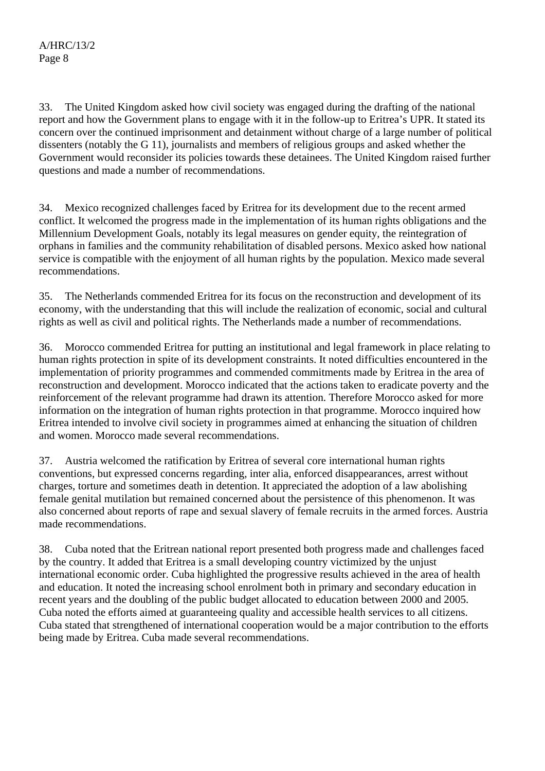33. The United Kingdom asked how civil society was engaged during the drafting of the national report and how the Government plans to engage with it in the follow-up to Eritrea's UPR. It stated its concern over the continued imprisonment and detainment without charge of a large number of political dissenters (notably the G 11), journalists and members of religious groups and asked whether the Government would reconsider its policies towards these detainees. The United Kingdom raised further questions and made a number of recommendations.

34. Mexico recognized challenges faced by Eritrea for its development due to the recent armed conflict. It welcomed the progress made in the implementation of its human rights obligations and the Millennium Development Goals, notably its legal measures on gender equity, the reintegration of orphans in families and the community rehabilitation of disabled persons. Mexico asked how national service is compatible with the enjoyment of all human rights by the population. Mexico made several recommendations.

35. The Netherlands commended Eritrea for its focus on the reconstruction and development of its economy, with the understanding that this will include the realization of economic, social and cultural rights as well as civil and political rights. The Netherlands made a number of recommendations.

36. Morocco commended Eritrea for putting an institutional and legal framework in place relating to human rights protection in spite of its development constraints. It noted difficulties encountered in the implementation of priority programmes and commended commitments made by Eritrea in the area of reconstruction and development. Morocco indicated that the actions taken to eradicate poverty and the reinforcement of the relevant programme had drawn its attention. Therefore Morocco asked for more information on the integration of human rights protection in that programme. Morocco inquired how Eritrea intended to involve civil society in programmes aimed at enhancing the situation of children and women. Morocco made several recommendations.

37. Austria welcomed the ratification by Eritrea of several core international human rights conventions, but expressed concerns regarding, inter alia, enforced disappearances, arrest without charges, torture and sometimes death in detention. It appreciated the adoption of a law abolishing female genital mutilation but remained concerned about the persistence of this phenomenon. It was also concerned about reports of rape and sexual slavery of female recruits in the armed forces. Austria made recommendations.

38. Cuba noted that the Eritrean national report presented both progress made and challenges faced by the country. It added that Eritrea is a small developing country victimized by the unjust international economic order. Cuba highlighted the progressive results achieved in the area of health and education. It noted the increasing school enrolment both in primary and secondary education in recent years and the doubling of the public budget allocated to education between 2000 and 2005. Cuba noted the efforts aimed at guaranteeing quality and accessible health services to all citizens. Cuba stated that strengthened of international cooperation would be a major contribution to the efforts being made by Eritrea. Cuba made several recommendations.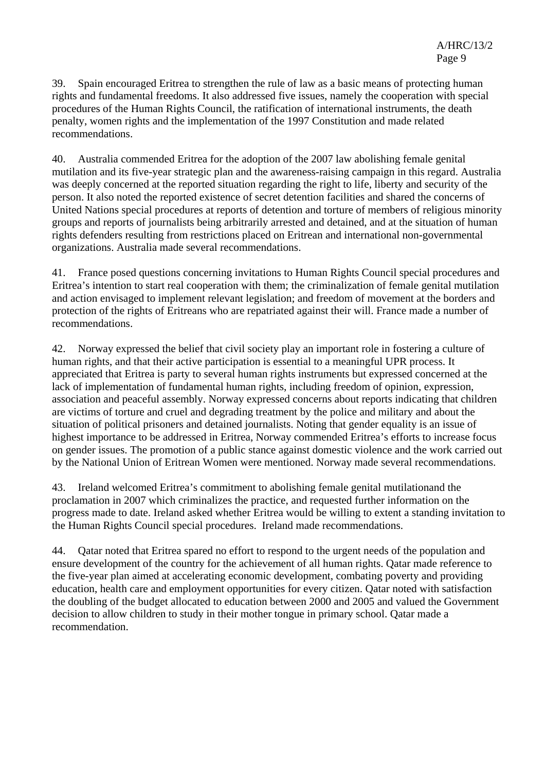39. Spain encouraged Eritrea to strengthen the rule of law as a basic means of protecting human rights and fundamental freedoms. It also addressed five issues, namely the cooperation with special procedures of the Human Rights Council, the ratification of international instruments, the death penalty, women rights and the implementation of the 1997 Constitution and made related recommendations.

40. Australia commended Eritrea for the adoption of the 2007 law abolishing female genital mutilation and its five-year strategic plan and the awareness-raising campaign in this regard. Australia was deeply concerned at the reported situation regarding the right to life, liberty and security of the person. It also noted the reported existence of secret detention facilities and shared the concerns of United Nations special procedures at reports of detention and torture of members of religious minority groups and reports of journalists being arbitrarily arrested and detained, and at the situation of human rights defenders resulting from restrictions placed on Eritrean and international non-governmental organizations. Australia made several recommendations.

41. France posed questions concerning invitations to Human Rights Council special procedures and Eritrea's intention to start real cooperation with them; the criminalization of female genital mutilation and action envisaged to implement relevant legislation; and freedom of movement at the borders and protection of the rights of Eritreans who are repatriated against their will. France made a number of recommendations.

42. Norway expressed the belief that civil society play an important role in fostering a culture of human rights, and that their active participation is essential to a meaningful UPR process. It appreciated that Eritrea is party to several human rights instruments but expressed concerned at the lack of implementation of fundamental human rights, including freedom of opinion, expression, association and peaceful assembly. Norway expressed concerns about reports indicating that children are victims of torture and cruel and degrading treatment by the police and military and about the situation of political prisoners and detained journalists. Noting that gender equality is an issue of highest importance to be addressed in Eritrea, Norway commended Eritrea's efforts to increase focus on gender issues. The promotion of a public stance against domestic violence and the work carried out by the National Union of Eritrean Women were mentioned. Norway made several recommendations.

43. Ireland welcomed Eritrea's commitment to abolishing female genital mutilationand the proclamation in 2007 which criminalizes the practice, and requested further information on the progress made to date. Ireland asked whether Eritrea would be willing to extent a standing invitation to the Human Rights Council special procedures. Ireland made recommendations.

44. Qatar noted that Eritrea spared no effort to respond to the urgent needs of the population and ensure development of the country for the achievement of all human rights. Qatar made reference to the five-year plan aimed at accelerating economic development, combating poverty and providing education, health care and employment opportunities for every citizen. Qatar noted with satisfaction the doubling of the budget allocated to education between 2000 and 2005 and valued the Government decision to allow children to study in their mother tongue in primary school. Qatar made a recommendation.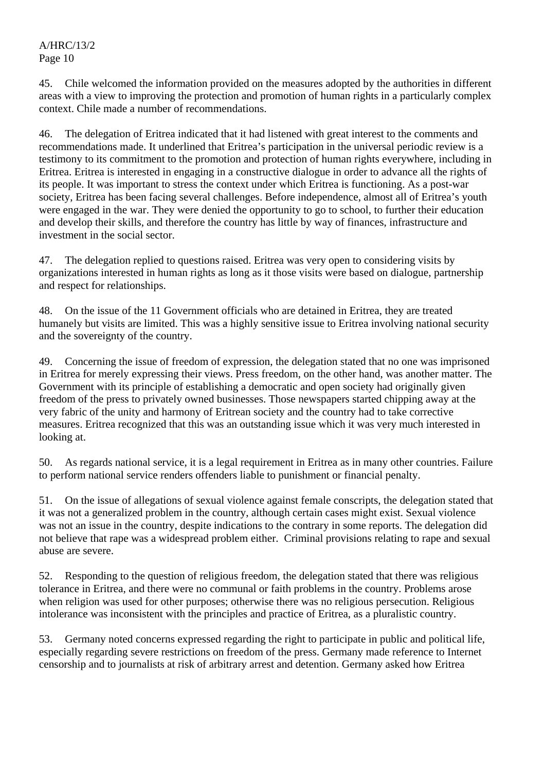A/HRC/13/2 Page 10

45. Chile welcomed the information provided on the measures adopted by the authorities in different areas with a view to improving the protection and promotion of human rights in a particularly complex context. Chile made a number of recommendations.

46. The delegation of Eritrea indicated that it had listened with great interest to the comments and recommendations made. It underlined that Eritrea's participation in the universal periodic review is a testimony to its commitment to the promotion and protection of human rights everywhere, including in Eritrea. Eritrea is interested in engaging in a constructive dialogue in order to advance all the rights of its people. It was important to stress the context under which Eritrea is functioning. As a post-war society, Eritrea has been facing several challenges. Before independence, almost all of Eritrea's youth were engaged in the war. They were denied the opportunity to go to school, to further their education and develop their skills, and therefore the country has little by way of finances, infrastructure and investment in the social sector.

47. The delegation replied to questions raised. Eritrea was very open to considering visits by organizations interested in human rights as long as it those visits were based on dialogue, partnership and respect for relationships.

48. On the issue of the 11 Government officials who are detained in Eritrea, they are treated humanely but visits are limited. This was a highly sensitive issue to Eritrea involving national security and the sovereignty of the country.

49. Concerning the issue of freedom of expression, the delegation stated that no one was imprisoned in Eritrea for merely expressing their views. Press freedom, on the other hand, was another matter. The Government with its principle of establishing a democratic and open society had originally given freedom of the press to privately owned businesses. Those newspapers started chipping away at the very fabric of the unity and harmony of Eritrean society and the country had to take corrective measures. Eritrea recognized that this was an outstanding issue which it was very much interested in looking at.

50. As regards national service, it is a legal requirement in Eritrea as in many other countries. Failure to perform national service renders offenders liable to punishment or financial penalty.

51. On the issue of allegations of sexual violence against female conscripts, the delegation stated that it was not a generalized problem in the country, although certain cases might exist. Sexual violence was not an issue in the country, despite indications to the contrary in some reports. The delegation did not believe that rape was a widespread problem either. Criminal provisions relating to rape and sexual abuse are severe.

52. Responding to the question of religious freedom, the delegation stated that there was religious tolerance in Eritrea, and there were no communal or faith problems in the country. Problems arose when religion was used for other purposes; otherwise there was no religious persecution. Religious intolerance was inconsistent with the principles and practice of Eritrea, as a pluralistic country.

53. Germany noted concerns expressed regarding the right to participate in public and political life, especially regarding severe restrictions on freedom of the press. Germany made reference to Internet censorship and to journalists at risk of arbitrary arrest and detention. Germany asked how Eritrea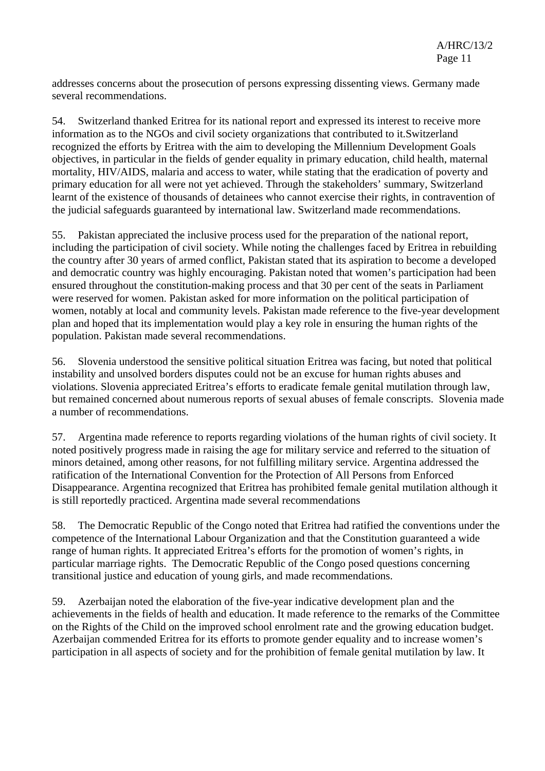addresses concerns about the prosecution of persons expressing dissenting views. Germany made several recommendations.

54. Switzerland thanked Eritrea for its national report and expressed its interest to receive more information as to the NGOs and civil society organizations that contributed to it.Switzerland recognized the efforts by Eritrea with the aim to developing the Millennium Development Goals objectives, in particular in the fields of gender equality in primary education, child health, maternal mortality, HIV/AIDS, malaria and access to water, while stating that the eradication of poverty and primary education for all were not yet achieved. Through the stakeholders' summary, Switzerland learnt of the existence of thousands of detainees who cannot exercise their rights, in contravention of the judicial safeguards guaranteed by international law. Switzerland made recommendations.

55. Pakistan appreciated the inclusive process used for the preparation of the national report, including the participation of civil society. While noting the challenges faced by Eritrea in rebuilding the country after 30 years of armed conflict, Pakistan stated that its aspiration to become a developed and democratic country was highly encouraging. Pakistan noted that women's participation had been ensured throughout the constitution-making process and that 30 per cent of the seats in Parliament were reserved for women. Pakistan asked for more information on the political participation of women, notably at local and community levels. Pakistan made reference to the five-year development plan and hoped that its implementation would play a key role in ensuring the human rights of the population. Pakistan made several recommendations.

56. Slovenia understood the sensitive political situation Eritrea was facing, but noted that political instability and unsolved borders disputes could not be an excuse for human rights abuses and violations. Slovenia appreciated Eritrea's efforts to eradicate female genital mutilation through law, but remained concerned about numerous reports of sexual abuses of female conscripts. Slovenia made a number of recommendations.

57. Argentina made reference to reports regarding violations of the human rights of civil society. It noted positively progress made in raising the age for military service and referred to the situation of minors detained, among other reasons, for not fulfilling military service. Argentina addressed the ratification of the International Convention for the Protection of All Persons from Enforced Disappearance. Argentina recognized that Eritrea has prohibited female genital mutilation although it is still reportedly practiced. Argentina made several recommendations

58. The Democratic Republic of the Congo noted that Eritrea had ratified the conventions under the competence of the International Labour Organization and that the Constitution guaranteed a wide range of human rights. It appreciated Eritrea's efforts for the promotion of women's rights, in particular marriage rights. The Democratic Republic of the Congo posed questions concerning transitional justice and education of young girls, and made recommendations.

59. Azerbaijan noted the elaboration of the five-year indicative development plan and the achievements in the fields of health and education. It made reference to the remarks of the Committee on the Rights of the Child on the improved school enrolment rate and the growing education budget. Azerbaijan commended Eritrea for its efforts to promote gender equality and to increase women's participation in all aspects of society and for the prohibition of female genital mutilation by law. It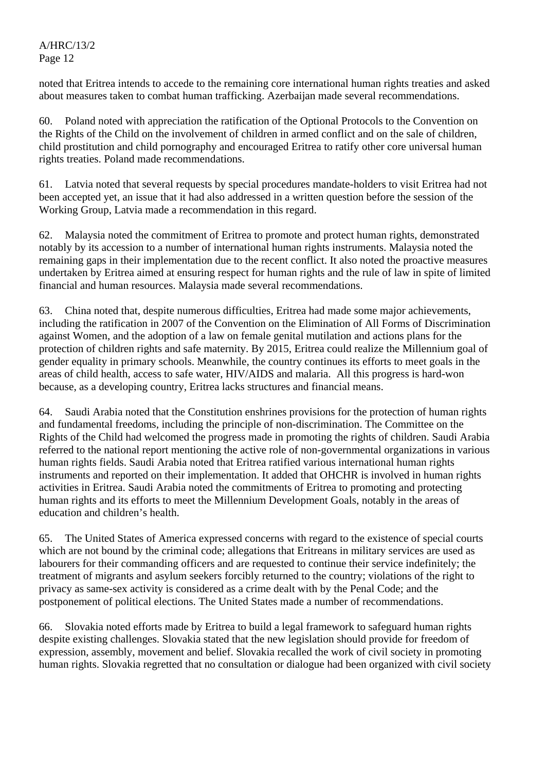noted that Eritrea intends to accede to the remaining core international human rights treaties and asked about measures taken to combat human trafficking. Azerbaijan made several recommendations.

60. Poland noted with appreciation the ratification of the Optional Protocols to the Convention on the Rights of the Child on the involvement of children in armed conflict and on the sale of children, child prostitution and child pornography and encouraged Eritrea to ratify other core universal human rights treaties. Poland made recommendations.

61. Latvia noted that several requests by special procedures mandate-holders to visit Eritrea had not been accepted yet, an issue that it had also addressed in a written question before the session of the Working Group, Latvia made a recommendation in this regard.

62. Malaysia noted the commitment of Eritrea to promote and protect human rights, demonstrated notably by its accession to a number of international human rights instruments. Malaysia noted the remaining gaps in their implementation due to the recent conflict. It also noted the proactive measures undertaken by Eritrea aimed at ensuring respect for human rights and the rule of law in spite of limited financial and human resources. Malaysia made several recommendations.

63. China noted that, despite numerous difficulties, Eritrea had made some major achievements, including the ratification in 2007 of the Convention on the Elimination of All Forms of Discrimination against Women, and the adoption of a law on female genital mutilation and actions plans for the protection of children rights and safe maternity. By 2015, Eritrea could realize the Millennium goal of gender equality in primary schools. Meanwhile, the country continues its efforts to meet goals in the areas of child health, access to safe water, HIV/AIDS and malaria. All this progress is hard-won because, as a developing country, Eritrea lacks structures and financial means.

64. Saudi Arabia noted that the Constitution enshrines provisions for the protection of human rights and fundamental freedoms, including the principle of non-discrimination. The Committee on the Rights of the Child had welcomed the progress made in promoting the rights of children. Saudi Arabia referred to the national report mentioning the active role of non-governmental organizations in various human rights fields. Saudi Arabia noted that Eritrea ratified various international human rights instruments and reported on their implementation. It added that OHCHR is involved in human rights activities in Eritrea. Saudi Arabia noted the commitments of Eritrea to promoting and protecting human rights and its efforts to meet the Millennium Development Goals, notably in the areas of education and children's health.

65. The United States of America expressed concerns with regard to the existence of special courts which are not bound by the criminal code; allegations that Eritreans in military services are used as labourers for their commanding officers and are requested to continue their service indefinitely; the treatment of migrants and asylum seekers forcibly returned to the country; violations of the right to privacy as same-sex activity is considered as a crime dealt with by the Penal Code; and the postponement of political elections. The United States made a number of recommendations.

66. Slovakia noted efforts made by Eritrea to build a legal framework to safeguard human rights despite existing challenges. Slovakia stated that the new legislation should provide for freedom of expression, assembly, movement and belief. Slovakia recalled the work of civil society in promoting human rights. Slovakia regretted that no consultation or dialogue had been organized with civil society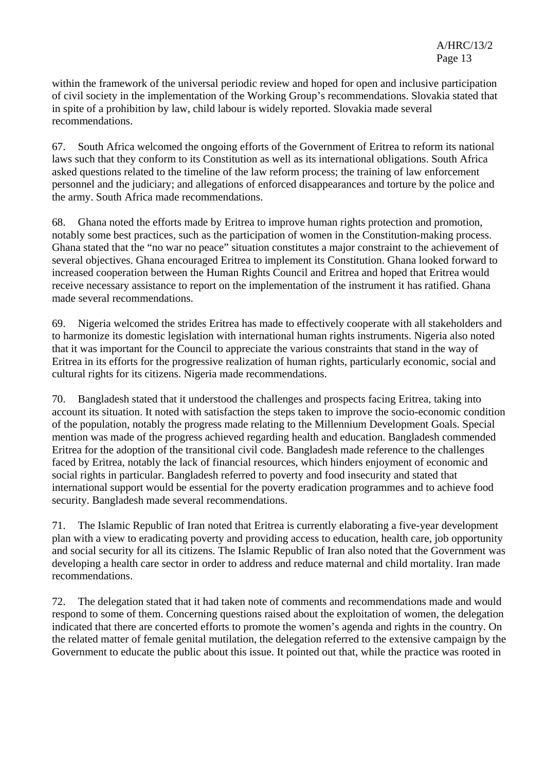within the framework of the universal periodic review and hoped for open and inclusive participation of civil society in the implementation of the Working Group's recommendations. Slovakia stated that in spite of a prohibition by law, child labour is widely reported. Slovakia made several recommendations.

67. South Africa welcomed the ongoing efforts of the Government of Eritrea to reform its national laws such that they conform to its Constitution as well as its international obligations. South Africa asked questions related to the timeline of the law reform process; the training of law enforcement personnel and the judiciary; and allegations of enforced disappearances and torture by the police and the army. South Africa made recommendations.

68. Ghana noted the efforts made by Eritrea to improve human rights protection and promotion, notably some best practices, such as the participation of women in the Constitution-making process. Ghana stated that the "no war no peace" situation constitutes a major constraint to the achievement of several objectives. Ghana encouraged Eritrea to implement its Constitution. Ghana looked forward to increased cooperation between the Human Rights Council and Eritrea and hoped that Eritrea would receive necessary assistance to report on the implementation of the instrument it has ratified. Ghana made several recommendations.

69. Nigeria welcomed the strides Eritrea has made to effectively cooperate with all stakeholders and to harmonize its domestic legislation with international human rights instruments. Nigeria also noted that it was important for the Council to appreciate the various constraints that stand in the way of Eritrea in its efforts for the progressive realization of human rights, particularly economic, social and cultural rights for its citizens. Nigeria made recommendations.

70. Bangladesh stated that it understood the challenges and prospects facing Eritrea, taking into account its situation. It noted with satisfaction the steps taken to improve the socio-economic condition of the population, notably the progress made relating to the Millennium Development Goals. Special mention was made of the progress achieved regarding health and education. Bangladesh commended Eritrea for the adoption of the transitional civil code. Bangladesh made reference to the challenges faced by Eritrea, notably the lack of financial resources, which hinders enjoyment of economic and social rights in particular. Bangladesh referred to poverty and food insecurity and stated that international support would be essential for the poverty eradication programmes and to achieve food security. Bangladesh made several recommendations.

71. The Islamic Republic of Iran noted that Eritrea is currently elaborating a five-year development plan with a view to eradicating poverty and providing access to education, health care, job opportunity and social security for all its citizens. The Islamic Republic of Iran also noted that the Government was developing a health care sector in order to address and reduce maternal and child mortality. Iran made recommendations.

72. The delegation stated that it had taken note of comments and recommendations made and would respond to some of them. Concerning questions raised about the exploitation of women, the delegation indicated that there are concerted efforts to promote the women's agenda and rights in the country. On the related matter of female genital mutilation, the delegation referred to the extensive campaign by the Government to educate the public about this issue. It pointed out that, while the practice was rooted in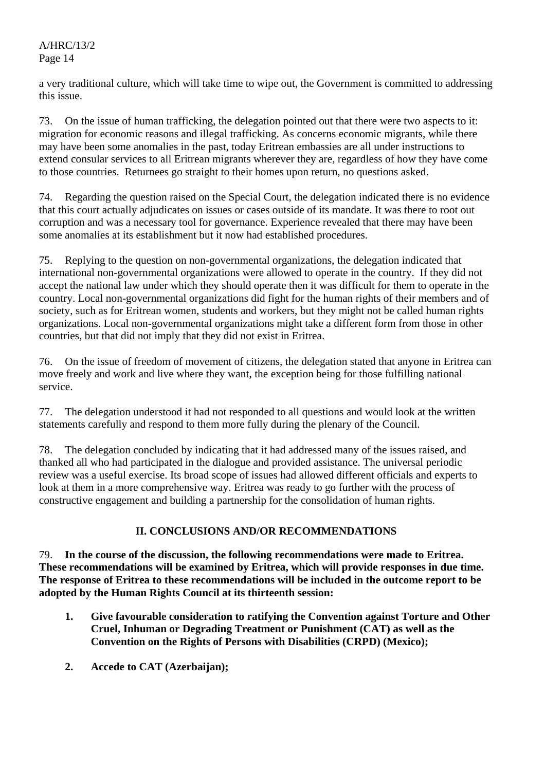a very traditional culture, which will take time to wipe out, the Government is committed to addressing this issue.

73. On the issue of human trafficking, the delegation pointed out that there were two aspects to it: migration for economic reasons and illegal trafficking. As concerns economic migrants, while there may have been some anomalies in the past, today Eritrean embassies are all under instructions to extend consular services to all Eritrean migrants wherever they are, regardless of how they have come to those countries. Returnees go straight to their homes upon return, no questions asked.

74. Regarding the question raised on the Special Court, the delegation indicated there is no evidence that this court actually adjudicates on issues or cases outside of its mandate. It was there to root out corruption and was a necessary tool for governance. Experience revealed that there may have been some anomalies at its establishment but it now had established procedures.

75. Replying to the question on non-governmental organizations, the delegation indicated that international non-governmental organizations were allowed to operate in the country. If they did not accept the national law under which they should operate then it was difficult for them to operate in the country. Local non-governmental organizations did fight for the human rights of their members and of society, such as for Eritrean women, students and workers, but they might not be called human rights organizations. Local non-governmental organizations might take a different form from those in other countries, but that did not imply that they did not exist in Eritrea.

76. On the issue of freedom of movement of citizens, the delegation stated that anyone in Eritrea can move freely and work and live where they want, the exception being for those fulfilling national service.

77. The delegation understood it had not responded to all questions and would look at the written statements carefully and respond to them more fully during the plenary of the Council.

78. The delegation concluded by indicating that it had addressed many of the issues raised, and thanked all who had participated in the dialogue and provided assistance. The universal periodic review was a useful exercise. Its broad scope of issues had allowed different officials and experts to look at them in a more comprehensive way. Eritrea was ready to go further with the process of constructive engagement and building a partnership for the consolidation of human rights.

## **II. CONCLUSIONS AND/OR RECOMMENDATIONS**

79. **In the course of the discussion, the following recommendations were made to Eritrea. These recommendations will be examined by Eritrea, which will provide responses in due time. The response of Eritrea to these recommendations will be included in the outcome report to be adopted by the Human Rights Council at its thirteenth session:** 

- **1. Give favourable consideration to ratifying the Convention against Torture and Other Cruel, Inhuman or Degrading Treatment or Punishment (CAT) as well as the Convention on the Rights of Persons with Disabilities (CRPD) (Mexico);**
- **2. Accede to CAT (Azerbaijan);**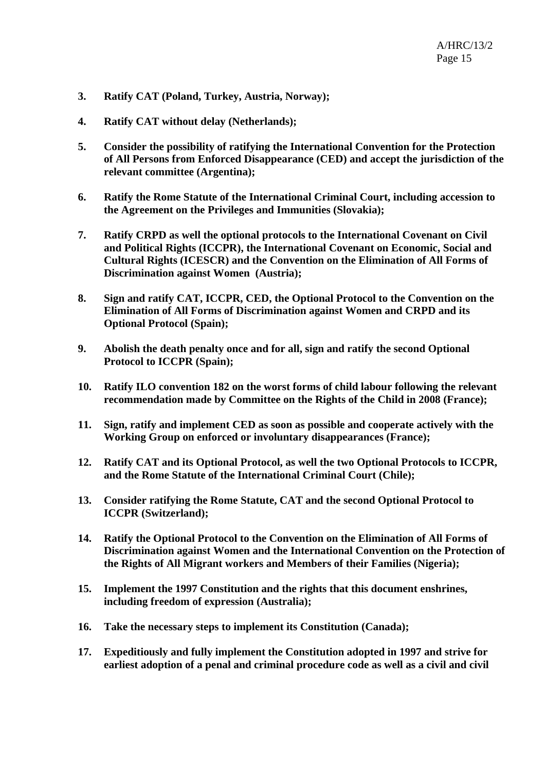- **3. Ratify CAT (Poland, Turkey, Austria, Norway);**
- **4. Ratify CAT without delay (Netherlands);**
- **5. Consider the possibility of ratifying the International Convention for the Protection of All Persons from Enforced Disappearance (CED) and accept the jurisdiction of the relevant committee (Argentina);**
- **6. Ratify the Rome Statute of the International Criminal Court, including accession to the Agreement on the Privileges and Immunities (Slovakia);**
- **7. Ratify CRPD as well the optional protocols to the International Covenant on Civil and Political Rights (ICCPR), the International Covenant on Economic, Social and Cultural Rights (ICESCR) and the Convention on the Elimination of All Forms of Discrimination against Women (Austria);**
- **8. Sign and ratify CAT, ICCPR, CED, the Optional Protocol to the Convention on the Elimination of All Forms of Discrimination against Women and CRPD and its Optional Protocol (Spain);**
- **9. Abolish the death penalty once and for all, sign and ratify the second Optional Protocol to ICCPR (Spain);**
- **10. Ratify ILO convention 182 on the worst forms of child labour following the relevant recommendation made by Committee on the Rights of the Child in 2008 (France);**
- **11. Sign, ratify and implement CED as soon as possible and cooperate actively with the Working Group on enforced or involuntary disappearances (France);**
- **12. Ratify CAT and its Optional Protocol, as well the two Optional Protocols to ICCPR, and the Rome Statute of the International Criminal Court (Chile);**
- **13. Consider ratifying the Rome Statute, CAT and the second Optional Protocol to ICCPR (Switzerland);**
- **14. Ratify the Optional Protocol to the Convention on the Elimination of All Forms of Discrimination against Women and the International Convention on the Protection of the Rights of All Migrant workers and Members of their Families (Nigeria);**
- **15. Implement the 1997 Constitution and the rights that this document enshrines, including freedom of expression (Australia);**
- **16. Take the necessary steps to implement its Constitution (Canada);**
- **17. Expeditiously and fully implement the Constitution adopted in 1997 and strive for earliest adoption of a penal and criminal procedure code as well as a civil and civil**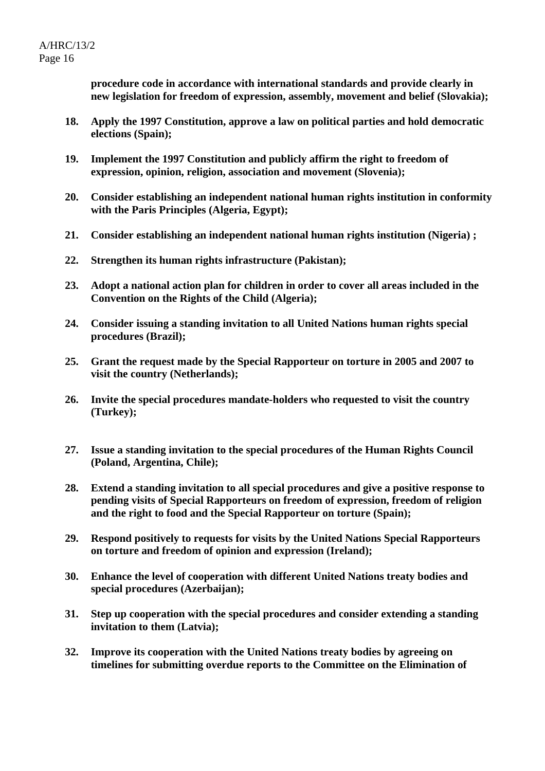**procedure code in accordance with international standards and provide clearly in new legislation for freedom of expression, assembly, movement and belief (Slovakia);** 

- **18. Apply the 1997 Constitution, approve a law on political parties and hold democratic elections (Spain);**
- **19. Implement the 1997 Constitution and publicly affirm the right to freedom of expression, opinion, religion, association and movement (Slovenia);**
- **20. Consider establishing an independent national human rights institution in conformity with the Paris Principles (Algeria, Egypt);**
- **21. Consider establishing an independent national human rights institution (Nigeria) ;**
- **22. Strengthen its human rights infrastructure (Pakistan);**
- **23. Adopt a national action plan for children in order to cover all areas included in the Convention on the Rights of the Child (Algeria);**
- **24. Consider issuing a standing invitation to all United Nations human rights special procedures (Brazil);**
- **25. Grant the request made by the Special Rapporteur on torture in 2005 and 2007 to visit the country (Netherlands);**
- **26. Invite the special procedures mandate-holders who requested to visit the country (Turkey);**
- **27. Issue a standing invitation to the special procedures of the Human Rights Council (Poland, Argentina, Chile);**
- **28. Extend a standing invitation to all special procedures and give a positive response to pending visits of Special Rapporteurs on freedom of expression, freedom of religion and the right to food and the Special Rapporteur on torture (Spain);**
- **29. Respond positively to requests for visits by the United Nations Special Rapporteurs on torture and freedom of opinion and expression (Ireland);**
- **30. Enhance the level of cooperation with different United Nations treaty bodies and special procedures (Azerbaijan);**
- **31. Step up cooperation with the special procedures and consider extending a standing invitation to them (Latvia);**
- **32. Improve its cooperation with the United Nations treaty bodies by agreeing on timelines for submitting overdue reports to the Committee on the Elimination of**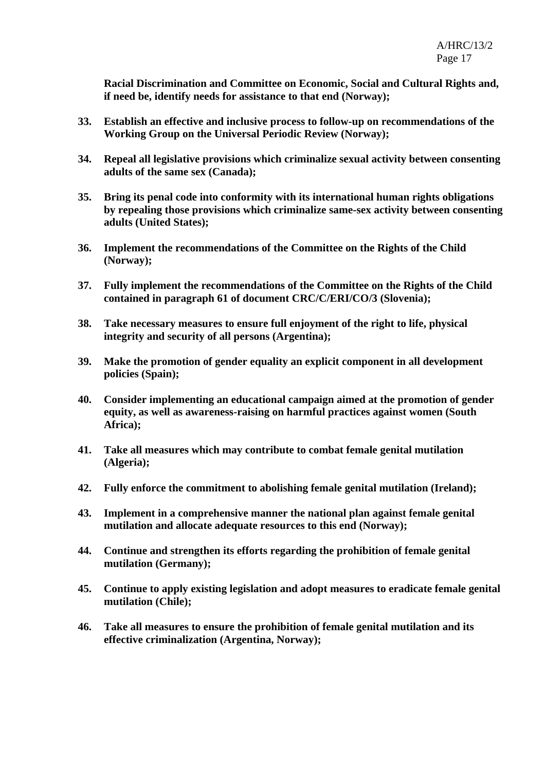**Racial Discrimination and Committee on Economic, Social and Cultural Rights and, if need be, identify needs for assistance to that end (Norway);** 

- **33. Establish an effective and inclusive process to follow-up on recommendations of the Working Group on the Universal Periodic Review (Norway);**
- **34. Repeal all legislative provisions which criminalize sexual activity between consenting adults of the same sex (Canada);**
- **35. Bring its penal code into conformity with its international human rights obligations by repealing those provisions which criminalize same-sex activity between consenting adults (United States);**
- **36. Implement the recommendations of the Committee on the Rights of the Child (Norway);**
- **37. Fully implement the recommendations of the Committee on the Rights of the Child contained in paragraph 61 of document CRC/C/ERI/CO/3 (Slovenia);**
- **38. Take necessary measures to ensure full enjoyment of the right to life, physical integrity and security of all persons (Argentina);**
- **39. Make the promotion of gender equality an explicit component in all development policies (Spain);**
- **40. Consider implementing an educational campaign aimed at the promotion of gender equity, as well as awareness-raising on harmful practices against women (South Africa);**
- **41. Take all measures which may contribute to combat female genital mutilation (Algeria);**
- **42. Fully enforce the commitment to abolishing female genital mutilation (Ireland);**
- **43. Implement in a comprehensive manner the national plan against female genital mutilation and allocate adequate resources to this end (Norway);**
- **44. Continue and strengthen its efforts regarding the prohibition of female genital mutilation (Germany);**
- **45. Continue to apply existing legislation and adopt measures to eradicate female genital mutilation (Chile);**
- **46. Take all measures to ensure the prohibition of female genital mutilation and its effective criminalization (Argentina, Norway);**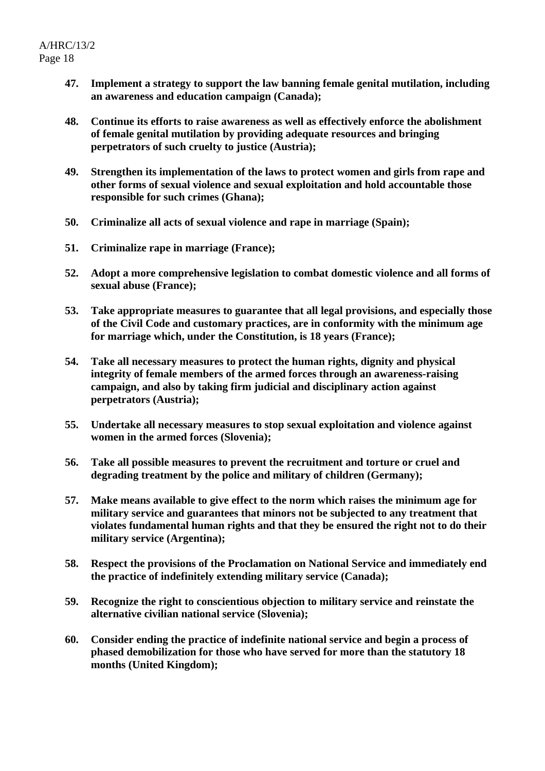- **47. Implement a strategy to support the law banning female genital mutilation, including an awareness and education campaign (Canada);**
- **48. Continue its efforts to raise awareness as well as effectively enforce the abolishment of female genital mutilation by providing adequate resources and bringing perpetrators of such cruelty to justice (Austria);**
- **49. Strengthen its implementation of the laws to protect women and girls from rape and other forms of sexual violence and sexual exploitation and hold accountable those responsible for such crimes (Ghana);**
- **50. Criminalize all acts of sexual violence and rape in marriage (Spain);**
- **51. Criminalize rape in marriage (France);**
- **52. Adopt a more comprehensive legislation to combat domestic violence and all forms of sexual abuse (France);**
- **53. Take appropriate measures to guarantee that all legal provisions, and especially those of the Civil Code and customary practices, are in conformity with the minimum age for marriage which, under the Constitution, is 18 years (France);**
- **54. Take all necessary measures to protect the human rights, dignity and physical integrity of female members of the armed forces through an awareness-raising campaign, and also by taking firm judicial and disciplinary action against perpetrators (Austria);**
- **55. Undertake all necessary measures to stop sexual exploitation and violence against women in the armed forces (Slovenia);**
- **56. Take all possible measures to prevent the recruitment and torture or cruel and degrading treatment by the police and military of children (Germany);**
- **57. Make means available to give effect to the norm which raises the minimum age for military service and guarantees that minors not be subjected to any treatment that violates fundamental human rights and that they be ensured the right not to do their military service (Argentina);**
- **58. Respect the provisions of the Proclamation on National Service and immediately end the practice of indefinitely extending military service (Canada);**
- **59. Recognize the right to conscientious objection to military service and reinstate the alternative civilian national service (Slovenia);**
- **60. Consider ending the practice of indefinite national service and begin a process of phased demobilization for those who have served for more than the statutory 18 months (United Kingdom);**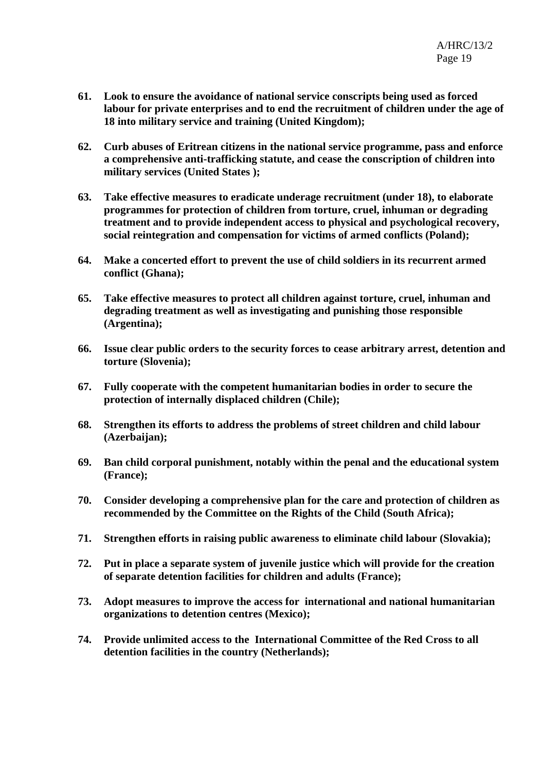- **61. Look to ensure the avoidance of national service conscripts being used as forced labour for private enterprises and to end the recruitment of children under the age of 18 into military service and training (United Kingdom);**
- **62. Curb abuses of Eritrean citizens in the national service programme, pass and enforce a comprehensive anti-trafficking statute, and cease the conscription of children into military services (United States );**
- **63. Take effective measures to eradicate underage recruitment (under 18), to elaborate programmes for protection of children from torture, cruel, inhuman or degrading treatment and to provide independent access to physical and psychological recovery, social reintegration and compensation for victims of armed conflicts (Poland);**
- **64. Make a concerted effort to prevent the use of child soldiers in its recurrent armed conflict (Ghana);**
- **65. Take effective measures to protect all children against torture, cruel, inhuman and degrading treatment as well as investigating and punishing those responsible (Argentina);**
- **66. Issue clear public orders to the security forces to cease arbitrary arrest, detention and torture (Slovenia);**
- **67. Fully cooperate with the competent humanitarian bodies in order to secure the protection of internally displaced children (Chile);**
- **68. Strengthen its efforts to address the problems of street children and child labour (Azerbaijan);**
- **69. Ban child corporal punishment, notably within the penal and the educational system (France);**
- **70. Consider developing a comprehensive plan for the care and protection of children as recommended by the Committee on the Rights of the Child (South Africa);**
- **71. Strengthen efforts in raising public awareness to eliminate child labour (Slovakia);**
- **72. Put in place a separate system of juvenile justice which will provide for the creation of separate detention facilities for children and adults (France);**
- **73. Adopt measures to improve the access for international and national humanitarian organizations to detention centres (Mexico);**
- **74. Provide unlimited access to the International Committee of the Red Cross to all detention facilities in the country (Netherlands);**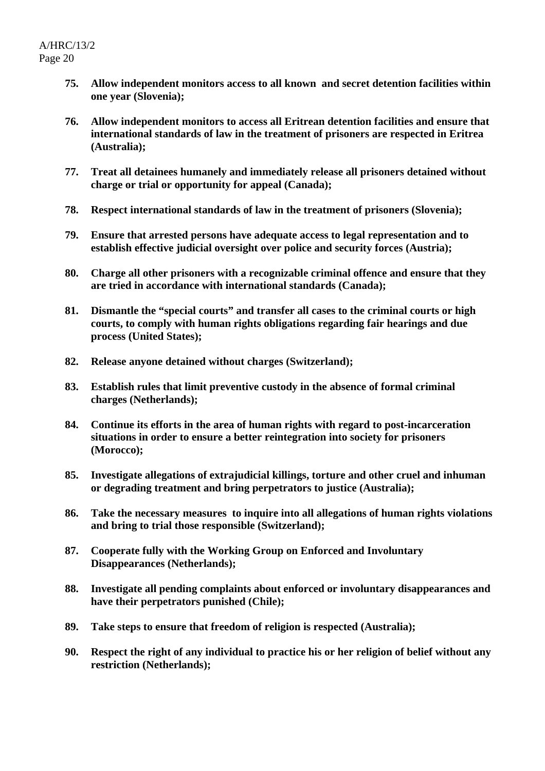- **75. Allow independent monitors access to all known and secret detention facilities within one year (Slovenia);**
- **76. Allow independent monitors to access all Eritrean detention facilities and ensure that international standards of law in the treatment of prisoners are respected in Eritrea (Australia);**
- **77. Treat all detainees humanely and immediately release all prisoners detained without charge or trial or opportunity for appeal (Canada);**
- **78. Respect international standards of law in the treatment of prisoners (Slovenia);**
- **79. Ensure that arrested persons have adequate access to legal representation and to establish effective judicial oversight over police and security forces (Austria);**
- **80. Charge all other prisoners with a recognizable criminal offence and ensure that they are tried in accordance with international standards (Canada);**
- **81. Dismantle the "special courts" and transfer all cases to the criminal courts or high courts, to comply with human rights obligations regarding fair hearings and due process (United States);**
- **82. Release anyone detained without charges (Switzerland);**
- **83. Establish rules that limit preventive custody in the absence of formal criminal charges (Netherlands);**
- **84. Continue its efforts in the area of human rights with regard to post-incarceration situations in order to ensure a better reintegration into society for prisoners (Morocco);**
- **85. Investigate allegations of extrajudicial killings, torture and other cruel and inhuman or degrading treatment and bring perpetrators to justice (Australia);**
- **86. Take the necessary measures to inquire into all allegations of human rights violations and bring to trial those responsible (Switzerland);**
- **87. Cooperate fully with the Working Group on Enforced and Involuntary Disappearances (Netherlands);**
- **88. Investigate all pending complaints about enforced or involuntary disappearances and have their perpetrators punished (Chile);**
- **89. Take steps to ensure that freedom of religion is respected (Australia);**
- **90. Respect the right of any individual to practice his or her religion of belief without any restriction (Netherlands);**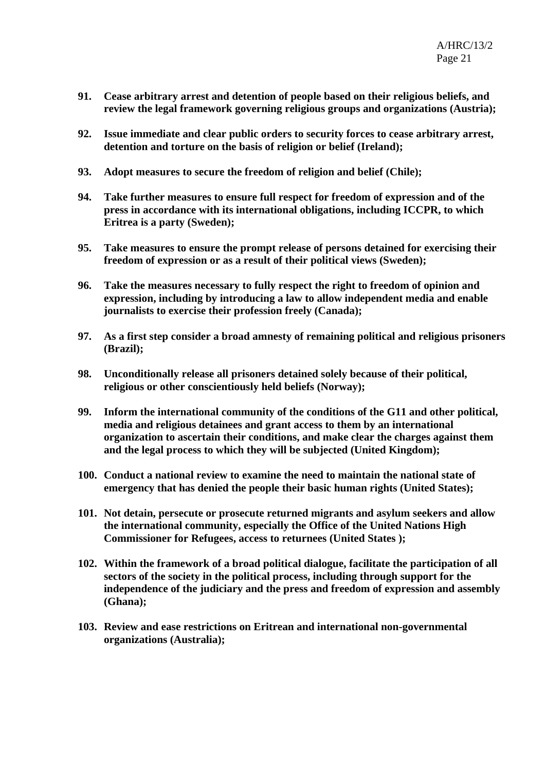- **91. Cease arbitrary arrest and detention of people based on their religious beliefs, and review the legal framework governing religious groups and organizations (Austria);**
- **92. Issue immediate and clear public orders to security forces to cease arbitrary arrest, detention and torture on the basis of religion or belief (Ireland);**
- **93. Adopt measures to secure the freedom of religion and belief (Chile);**
- **94. Take further measures to ensure full respect for freedom of expression and of the press in accordance with its international obligations, including ICCPR, to which Eritrea is a party (Sweden);**
- **95. Take measures to ensure the prompt release of persons detained for exercising their freedom of expression or as a result of their political views (Sweden);**
- **96. Take the measures necessary to fully respect the right to freedom of opinion and expression, including by introducing a law to allow independent media and enable journalists to exercise their profession freely (Canada);**
- **97. As a first step consider a broad amnesty of remaining political and religious prisoners (Brazil);**
- **98. Unconditionally release all prisoners detained solely because of their political, religious or other conscientiously held beliefs (Norway);**
- **99. Inform the international community of the conditions of the G11 and other political, media and religious detainees and grant access to them by an international organization to ascertain their conditions, and make clear the charges against them and the legal process to which they will be subjected (United Kingdom);**
- **100. Conduct a national review to examine the need to maintain the national state of emergency that has denied the people their basic human rights (United States);**
- **101. Not detain, persecute or prosecute returned migrants and asylum seekers and allow the international community, especially the Office of the United Nations High Commissioner for Refugees, access to returnees (United States );**
- **102. Within the framework of a broad political dialogue, facilitate the participation of all sectors of the society in the political process, including through support for the independence of the judiciary and the press and freedom of expression and assembly (Ghana);**
- **103. Review and ease restrictions on Eritrean and international non-governmental organizations (Australia);**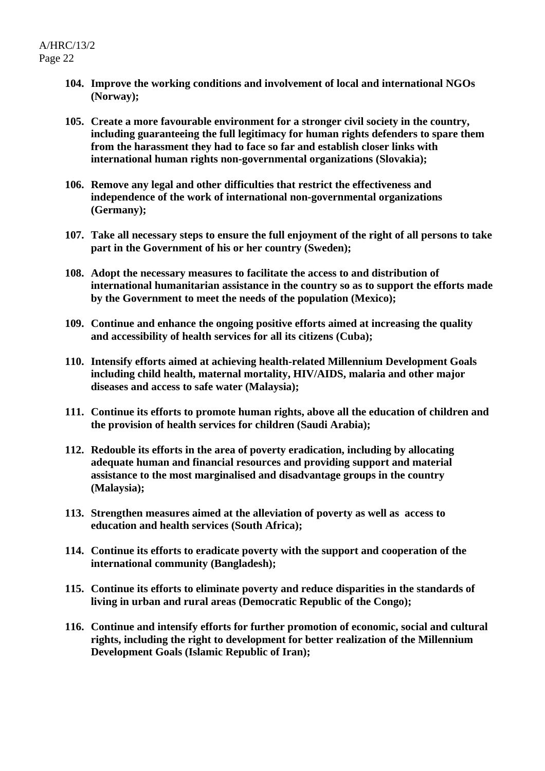- **104. Improve the working conditions and involvement of local and international NGOs (Norway);**
- **105. Create a more favourable environment for a stronger civil society in the country, including guaranteeing the full legitimacy for human rights defenders to spare them from the harassment they had to face so far and establish closer links with international human rights non-governmental organizations (Slovakia);**
- **106. Remove any legal and other difficulties that restrict the effectiveness and independence of the work of international non-governmental organizations (Germany);**
- **107. Take all necessary steps to ensure the full enjoyment of the right of all persons to take part in the Government of his or her country (Sweden);**
- **108. Adopt the necessary measures to facilitate the access to and distribution of international humanitarian assistance in the country so as to support the efforts made by the Government to meet the needs of the population (Mexico);**
- **109. Continue and enhance the ongoing positive efforts aimed at increasing the quality and accessibility of health services for all its citizens (Cuba);**
- **110. Intensify efforts aimed at achieving health-related Millennium Development Goals including child health, maternal mortality, HIV/AIDS, malaria and other major diseases and access to safe water (Malaysia);**
- **111. Continue its efforts to promote human rights, above all the education of children and the provision of health services for children (Saudi Arabia);**
- **112. Redouble its efforts in the area of poverty eradication, including by allocating adequate human and financial resources and providing support and material assistance to the most marginalised and disadvantage groups in the country (Malaysia);**
- **113. Strengthen measures aimed at the alleviation of poverty as well as access to education and health services (South Africa);**
- **114. Continue its efforts to eradicate poverty with the support and cooperation of the international community (Bangladesh);**
- **115. Continue its efforts to eliminate poverty and reduce disparities in the standards of living in urban and rural areas (Democratic Republic of the Congo);**
- **116. Continue and intensify efforts for further promotion of economic, social and cultural rights, including the right to development for better realization of the Millennium Development Goals (Islamic Republic of Iran);**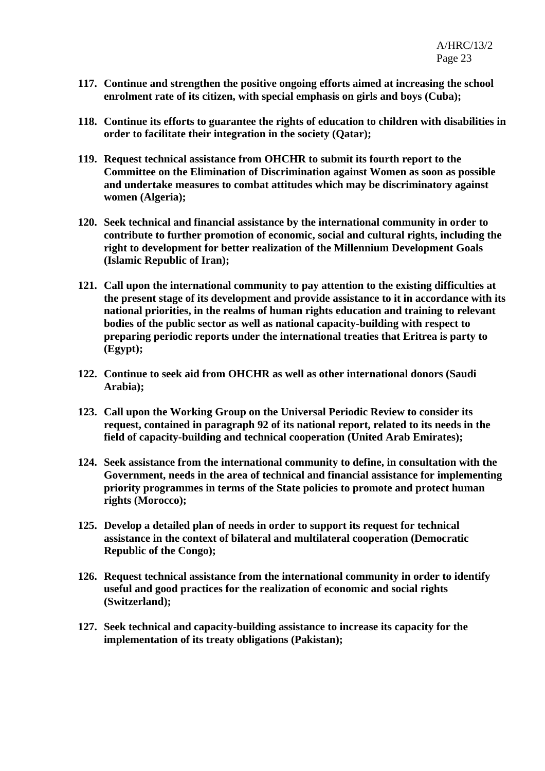- **117. Continue and strengthen the positive ongoing efforts aimed at increasing the school enrolment rate of its citizen, with special emphasis on girls and boys (Cuba);**
- **118. Continue its efforts to guarantee the rights of education to children with disabilities in order to facilitate their integration in the society (Qatar);**
- **119. Request technical assistance from OHCHR to submit its fourth report to the Committee on the Elimination of Discrimination against Women as soon as possible and undertake measures to combat attitudes which may be discriminatory against women (Algeria);**
- **120. Seek technical and financial assistance by the international community in order to contribute to further promotion of economic, social and cultural rights, including the right to development for better realization of the Millennium Development Goals (Islamic Republic of Iran);**
- **121. Call upon the international community to pay attention to the existing difficulties at the present stage of its development and provide assistance to it in accordance with its national priorities, in the realms of human rights education and training to relevant bodies of the public sector as well as national capacity-building with respect to preparing periodic reports under the international treaties that Eritrea is party to (Egypt);**
- **122. Continue to seek aid from OHCHR as well as other international donors (Saudi Arabia);**
- **123. Call upon the Working Group on the Universal Periodic Review to consider its request, contained in paragraph 92 of its national report, related to its needs in the field of capacity-building and technical cooperation (United Arab Emirates);**
- **124. Seek assistance from the international community to define, in consultation with the Government, needs in the area of technical and financial assistance for implementing priority programmes in terms of the State policies to promote and protect human rights (Morocco);**
- **125. Develop a detailed plan of needs in order to support its request for technical assistance in the context of bilateral and multilateral cooperation (Democratic Republic of the Congo);**
- **126. Request technical assistance from the international community in order to identify useful and good practices for the realization of economic and social rights (Switzerland);**
- **127. Seek technical and capacity-building assistance to increase its capacity for the implementation of its treaty obligations (Pakistan);**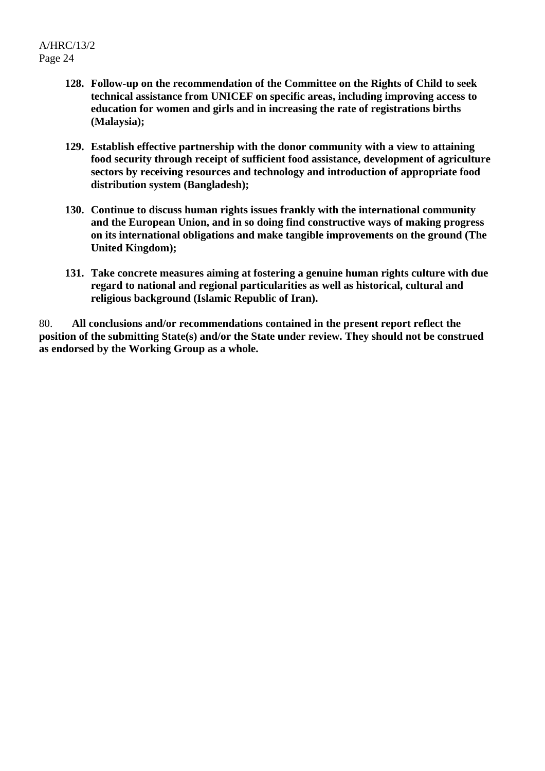- **128. Follow-up on the recommendation of the Committee on the Rights of Child to seek technical assistance from UNICEF on specific areas, including improving access to education for women and girls and in increasing the rate of registrations births (Malaysia);**
- **129. Establish effective partnership with the donor community with a view to attaining food security through receipt of sufficient food assistance, development of agriculture sectors by receiving resources and technology and introduction of appropriate food distribution system (Bangladesh);**
- **130. Continue to discuss human rights issues frankly with the international community and the European Union, and in so doing find constructive ways of making progress on its international obligations and make tangible improvements on the ground (The United Kingdom);**
- **131. Take concrete measures aiming at fostering a genuine human rights culture with due regard to national and regional particularities as well as historical, cultural and religious background (Islamic Republic of Iran).**

80. **All conclusions and/or recommendations contained in the present report reflect the position of the submitting State(s) and/or the State under review. They should not be construed as endorsed by the Working Group as a whole.**